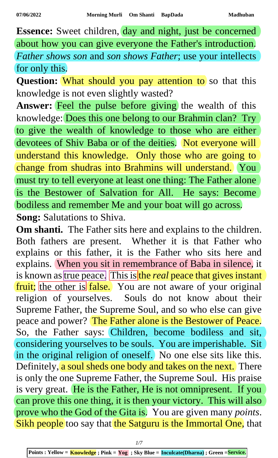**Essence:** Sweet children, day and night, just be concerned about how you can give everyone the Father's introduction. *Father shows son* and *son shows Father*; use your intellects for only this.

**Question:** What should you pay attention to so that this knowledge is not even slightly wasted?

Answer: Feel the pulse before giving the wealth of this knowledge: Does this one belong to our Brahmin clan? Try to give the wealth of knowledge to those who are either devotees of Shiv Baba or of the deities. Not everyone will understand this knowledge. Only those who are going to change from shudras into Brahmins will understand. You must try to tell everyone at least one thing: The Father alone is the Bestower of Salvation for All. He says: Become bodiless and remember Me and your boat will go across. **Song:** Salutations to Shiva.

**Om shanti.** The Father sits here and explains to the children. Both fathers are present. Whether it is that Father who explains or this father, it is the Father who sits here and explains. When you sit in remembrance of Baba in silence, it is known as true peace. This is the *real* peace that gives instant fruit; the other is false. You are not aware of your original religion of yourselves. Souls do not know about their Supreme Father, the Supreme Soul, and so who else can give peace and power? The Father alone is the Bestower of Peace. So, the Father says: Children, become bodiless and sit, considering yourselves to be souls. You are imperishable. Sit in the original religion of oneself. No one else sits like this. Definitely, a soul sheds one body and takes on the next. There is only the one Supreme Father, the Supreme Soul. His praise is very great. He is the Father, He is not omnipresent. If you can prove this one thing, it is then your victory. This will also prove who the God of the Gita is. You are given many *points*. Sikh people too say that the Satguru is the Immortal One, that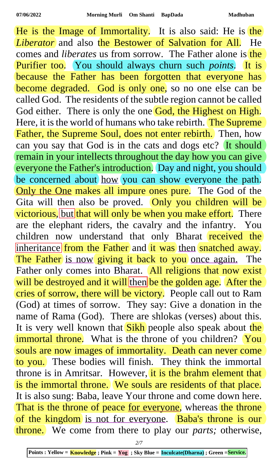He is the Image of Immortality. It is also said: He is the *Liberator* and also the Bestower of Salvation for All. He comes and *liberates* us from sorrow. The Father alone is the Purifier too. You should always churn such *points*. It is because the Father has been forgotten that everyone has become degraded. God is only one, so no one else can be called God. The residents of the subtle region cannot be called God either. There is only the one God, the Highest on High. Here, it is the world of humans who take rebirth. The Supreme Father, the Supreme Soul, does not enter rebirth. Then, how can you say that God is in the cats and dogs etc? It should remain in your intellects throughout the day how you can give everyone the Father's introduction. Day and night, you should be concerned about how you can show everyone the path. Only the One makes all impure ones pure. The God of the Gita will then also be proved. Only you children will be victorious, but that will only be when you make effort. There are the elephant riders, the cavalry and the infantry. You children now understand that only Bharat received the inheritance from the Father and it was then snatched away. The Father is now giving it back to you once again. The Father only comes into Bharat. All religions that now exist will be destroyed and it will then be the golden age. After the cries of sorrow, there will be victory. People call out to Ram (God) at times of sorrow. They say: Give a donation in the name of Rama (God). There are shlokas (verses) about this. It is very well known that **Sikh** people also speak about the immortal throne. What is the throne of you children? You souls are now images of immortality. Death can never come to you. These bodies will finish. They think the immortal throne is in Amritsar. However, it is the brahm element that is the immortal throne. We souls are residents of that place. It is also sung: Baba, leave Your throne and come down here. That is the throne of peace for everyone, whereas the throne of the kingdom is not for everyone. Baba's throne is our throne. We come from there to play our *parts;* otherwise,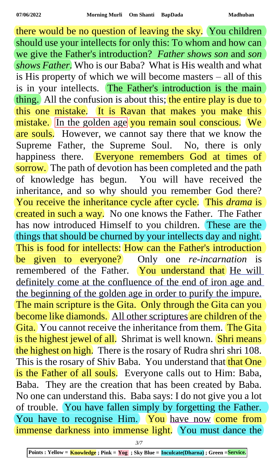there would be no question of leaving the sky. You children should use your intellects for only this: To whom and how can we give the Father's introduction? *Father shows son* and *son shows Father*. Who is our Baba? What is His wealth and what is His property of which we will become masters – all of this is in your intellects. The Father's introduction is the main thing. All the confusion is about this; the entire play is due to this one mistake. It is Ravan that makes you make this mistake. In the golden age you remain soul conscious. We are souls. However, we cannot say there that we know the Supreme Father, the Supreme Soul. No, there is only happiness there. Everyone remembers God at times of sorrow. The path of devotion has been completed and the path of knowledge has begun. You will have received the inheritance, and so why should you remember God there? You receive the inheritance cycle after cycle. This *drama* is created in such a way. No one knows the Father. The Father has now introduced Himself to you children. These are the things that should be churned by your intellects day and night. This is food for intellects: How can the Father's introduction be given to everyone? Only one *re-incarnation* is remembered of the Father. You understand that He will definitely come at the confluence of the end of iron age and the beginning of the golden age in order to purify the impure. The main scripture is the Gita. Only through the Gita can you become like diamonds. All other scriptures are children of the Gita. You cannot receive the inheritance from them. The Gita is the highest jewel of all. Shrimat is well known. Shri means the highest on high. There is the rosary of Rudra shri shri 108. This is the rosary of Shiv Baba. You understand that that One is the Father of all souls. Everyone calls out to Him: Baba, Baba. They are the creation that has been created by Baba. No one can understand this. Baba says: I do not give you a lot of trouble. You have fallen simply by forgetting the Father. You have to recognise Him. You have now come from immense darkness into immense light. You must dance the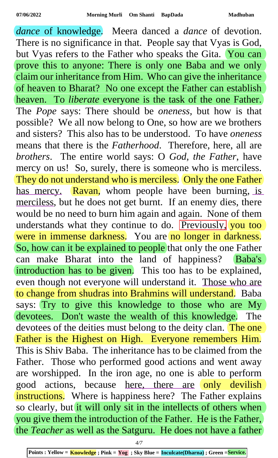*dance* of knowledge. Meera danced a *dance* of devotion. There is no significance in that. People say that Vyas is God, but Vyas refers to the Father who speaks the Gita. You can prove this to anyone: There is only one Baba and we only claim our inheritance from Him. Who can give the inheritance of heaven to Bharat? No one except the Father can establish heaven. To *liberate* everyone is the task of the one Father. The *Pope* says: There should be *oneness,* but how is that possible? We all now belong to One, so how are we brothers and sisters? This also has to be understood. To have *oneness* means that there is the *Fatherhood*. Therefore, here, all are *brothers*. The entire world says: O *God, the Father*, have mercy on us! So, surely, there is someone who is merciless. They do not understand who is merciless. Only the one Father has mercy. Ravan, whom people have been burning, is merciless, but he does not get burnt. If an enemy dies, there would be no need to burn him again and again. None of them understands what they continue to do. Previously, you too were in immense darkness. You are no longer in darkness. So, how can it be explained to people that only the one Father can make Bharat into the land of happiness? Baba's introduction has to be given. This too has to be explained, even though not everyone will understand it. Those who are to change from shudras into Brahmins will understand. Baba says: Try to give this knowledge to those who are My devotees. Don't waste the wealth of this knowledge. The devotees of the deities must belong to the deity clan. The one Father is the Highest on High. Everyone remembers Him. This is Shiv Baba. The inheritance has to be claimed from the Father. Those who performed good actions and went away are worshipped. In the iron age, no one is able to perform good actions, because here, there are only devilish instructions. Where is happiness here? The Father explains so clearly, but it will only sit in the intellects of others when you give them the introduction of the Father. He is the Father, the *Teacher* as well as the Satguru. He does not have a father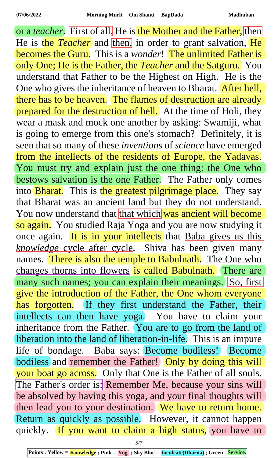or a *teacher*. First of all. He is the Mother and the Father, then He is the *Teacher* and then, in order to grant salvation, He **becomes the Guru.** This is a *wonder*! The unlimited Father is only One; He is the Father, the *Teacher* and the Satguru. You understand that Father to be the Highest on High. He is the One who gives the inheritance of heaven to Bharat. After hell, there has to be heaven. The flames of destruction are already prepared for the destruction of hell. At the time of Holi, they wear a mask and mock one another by asking: Swamiji, what is going to emerge from this one's stomach? Definitely, it is seen that so many of these *inventions* of *science* have emerged from the intellects of the residents of Europe, the Yadavas. You must try and explain just the one thing: the One who bestows salvation is the one Father. The Father only comes into Bharat. This is the greatest pilgrimage place. They say that Bharat was an ancient land but they do not understand. You now understand that that which was ancient will become so again. You studied Raja Yoga and you are now studying it once again. It is in your intellects that Baba gives us this *knowledge* cycle after cycle. Shiva has been given many names. There is also the temple to Babulnath. The One who changes thorns into flowers is called Babulnath. There are many such names; you can explain their meanings. So, first give the introduction of the Father, the One whom everyone has forgotten. If they first understand the Father, their intellects can then have yoga. You have to claim your inheritance from the Father. You are to go from the land of liberation into the land of liberation-in-life. This is an impure life of bondage. Baba says: Become bodiless! Become bodiless and remember the Father! Only by doing this will your boat go across. Only that One is the Father of all souls. The Father's order is: Remember Me, because your sins will be absolved by having this yoga, and your final thoughts will then lead you to your destination. We have to return home. Return as quickly as possible. However, it cannot happen quickly. If you want to claim a high status, you have to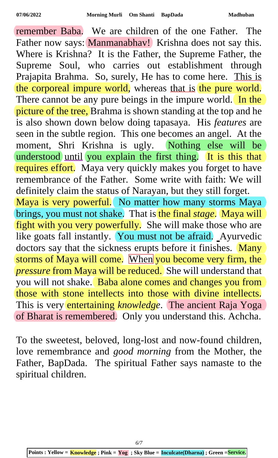remember Baba. We are children of the one Father. The Father now says: Manmanabhav! Krishna does not say this. Where is Krishna? It is the Father, the Supreme Father, the Supreme Soul, who carries out establishment through Prajapita Brahma. So, surely, He has to come here. This is the corporeal impure world, whereas that is the pure world. There cannot be any pure beings in the impure world. In the picture of the tree, Brahma is shown standing at the top and he is also shown down below doing tapasaya. His *features* are seen in the subtle region. This one becomes an angel. At the moment, Shri Krishna is ugly. Nothing else will be understood until you explain the first thing. It is this that requires effort. Maya very quickly makes you forget to have remembrance of the Father. Some write with faith: We will definitely claim the status of Narayan, but they still forget. Maya is very powerful. No matter how many storms Maya brings, you must not shake. That is the final *stage*. Maya will fight with you very powerfully. She will make those who are like goats fall instantly. You must not be afraid. Ayurvedic doctors say that the sickness erupts before it finishes. Many storms of Maya will come. When you become very firm, the *pressure* from Maya will be reduced. She will understand that you will not shake. Baba alone comes and changes you from those with stone intellects into those with divine intellects. This is very entertaining *knowledge*. The ancient Raja Yoga of Bharat is remembered. Only you understand this. Achcha.

To the sweetest, beloved, long-lost and now-found children, love remembrance and *good morning* from the Mother, the Father, BapDada. The spiritual Father says namaste to the spiritual children.